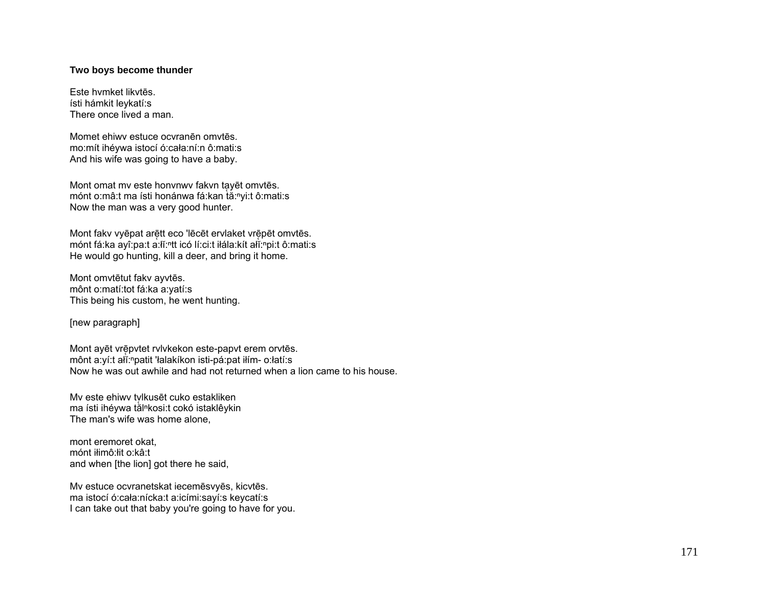## Two boys become thunder

Este hymket likytēs. ísti hámkit leykatí:s There once lived a man.

Momet ehiwy estuce ocvranēn omvtēs. mo:mít ihéywa istocí ó:cała:ní:n ô:mati:s And his wife was going to have a baby.

Mont omat mv este honvnwv fakvn tayēt omvtēs. mónt o:mâ:t ma ísti honánwa fá:kan tă:nyi:t ô:mati:s Now the man was a very good hunter.

Mont fakv vyēpat arētt eco 'lēcēt ervlaket vrēpēt omvtēs. mónt fá:ka ayî:pa:t a:li:<sup>n</sup>tt icó lí:ci:t ilála:kít ali:npi:t ô:mati:s He would go hunting, kill a deer, and bring it home.

Mont omvtētut fakv ayvtēs. mônt o:matí:tot fá:ka a:yatí:s This being his custom, he went hunting.

[new paragraph]

Mont ayēt vrēpvtet rvivkekon este-papvt erem orvtēs. mônt a:yí:t ali:npatit 'łalakíkon isti-pá:pat iłím- o:łatí:s Now he was out awhile and had not returned when a lion came to his house.

Mv este ehiwy tylkusēt cuko estakliken ma ísti ihéywa tàl<sup>n</sup>kosi:t cokó istaklêykin The man's wife was home alone.

mont eremoret okat. mónt ilimô: lit o: kâ: t and when [the lion] got there he said,

Mv estuce ocvranetskat iecemēsvyēs, kicvtēs. ma istocí ó:cała:nícka:t a:icími:sayí:s keycatí:s I can take out that baby you're going to have for you.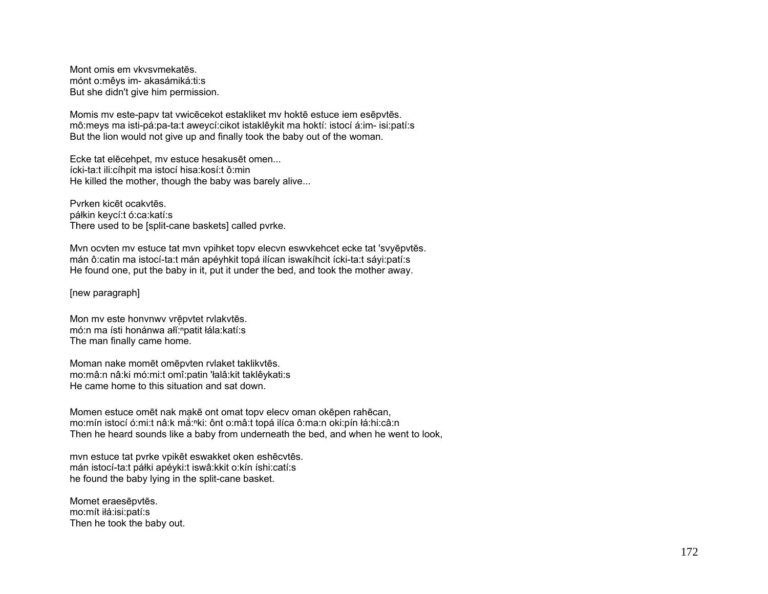Mont omis em vkvsvmekatēs. mónt o: mêys im- akasámiká: ti: s But she didn't give him permission.

Momis my este-papy tat ywicecekot estakliket my hokte estuce iem esepytes. mô: meys ma isti-pá: pa-ta: t aweycí: cikot istaklê y kit ma hoktí: istocí á: im- isi: patí: s But the lion would not give up and finally took the baby out of the woman.

Ecke tat elecehpet, my estuce hesakuset omen... ícki-ta:t ili:cíhpit ma istocí hisa:kosí:t ô:min He killed the mother, though the baby was barely alive...

Pyrken kicēt ocakytēs. páłkin keycí:t ó:ca:katí:s There used to be [split-cane baskets] called pyrke.

Mvn ocvten mv estuce tat mvn vpihket topy elecvn eswykehcet ecke tat 'svyepytes. mán ô:catin ma istocí-ta:t mán apéyhkit topá ilícan iswakíhcit ícki-ta:t sáyi:patí:s He found one, put the baby in it, put it under the bed, and took the mother away.

[new paragraph]

Mon mv este honvnwy vrēpvtet rvlakvtēs. mó:n ma ísti honánwa ali:npatit lála:katí:s The man finally came home.

Moman nake momēt omēpvten rvlaket taklikvtēs. mo:mâ:n nâ:ki mó:mi:t omî:patin 'łalâ:kit taklêykati:s He came home to this situation and sat down.

Momen estuce omet nak make ont omat topy elecy oman okepen rahecan, mo:mín istocí ó:mi:t nâ:k mắ:<sup>n</sup>ki: ônt o:mâ:t topá ilíca ô:ma:n oki:pín łá:hi:câ:n Then he heard sounds like a baby from underneath the bed, and when he went to look,

mvn estuce tat pvrke vpikēt eswakket oken eshēcvtēs. mán istocí-ta:t páłki apéyki:t iswâ:kkit o:kín íshi:catí:s he found the baby lying in the split-cane basket.

Momet eraesepytes. mo:mít iłá:isi:patí:s Then he took the baby out.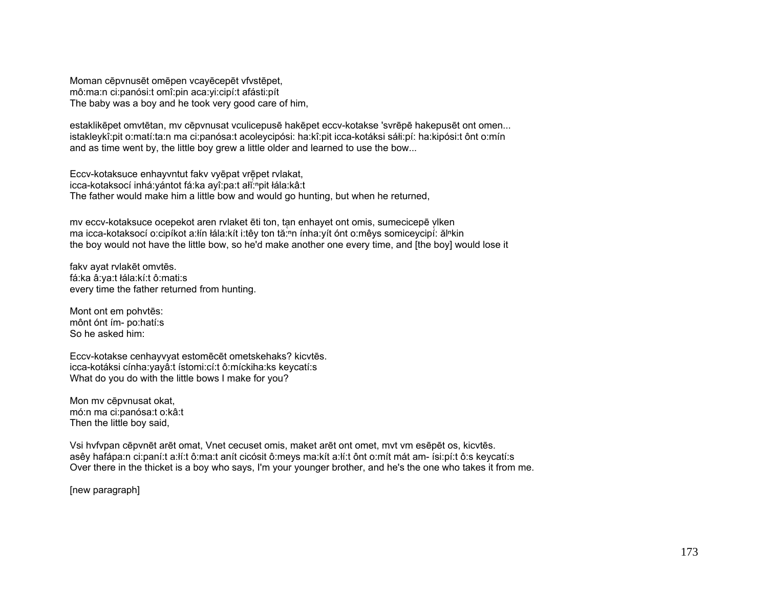Moman cēpynusēt omēpen vcavēcepēt vfystēpet. mô:ma:n ci:panósi:t omî:pin aca:yi:cipí:t afásti:pít The baby was a boy and he took very good care of him,

estaklikēpet omvtētan, my cēpynusat vculicepusē hakēpet eccy-kotakse 'svrēpē hakepusēt ont omen... istakleykî:pit o:matí:ta:n ma ci:panósa:t acoleycipósi: ha:kî:pit icca-kotáksi sáłi:pí: ha:kipósi:t ônt o:mín and as time went by, the little boy grew a little older and learned to use the bow...

Eccv-kotaksuce enhayvntut fakv vyēpat vrēpet rvlakat, icca-kotaksocí inhá: yántot fá: ka ayî: pa: t ali: npit łála: kâ: t The father would make him a little bow and would go hunting, but when he returned,

mv eccv-kotaksuce ocepekot aren rvlaket ēti ton, tan enhayet ont omis, sumecicepē vlken ma icca-kotaksocí o:cipíkot a:lín łála:kít i:têy ton tă:nn ínha:yít ónt o:mêys somiceycipí: ălnkin the boy would not have the little bow, so he'd make another one every time, and [the boy] would lose it

fakv ayat rvlakēt omvtēs. fá:ka â:ya:t łála:kí:t ô:mati:s every time the father returned from hunting.

Mont ont em pohytēs: mônt ónt ím- po:hatí:s So he asked him:

Eccv-kotakse cenhayvyat estomēcēt ometskehaks? kicvtēs. icca-kotáksi cínha: yayâ: tístomi: cí: tô: míckiha: ks keycatí: s What do you do with the little bows I make for you?

Mon my cēpynusat okat, mó:n ma ci:panósa:t o:kâ:t Then the little boy said,

Vsi hvfvpan cēpvnēt arēt omat, Vnet cecuset omis, maket arēt ont omet, mvt vm esēpēt os, kicvtēs. asêy hafápa:n ci:paní:t a:lí:t ô:ma:t anít cicósit ô:meys ma:kít a:lí:t ônt o:mít mát am- ísi:pí:t ô:s keycatí:s Over there in the thicket is a boy who says, I'm your younger brother, and he's the one who takes it from me.

[new paragraph]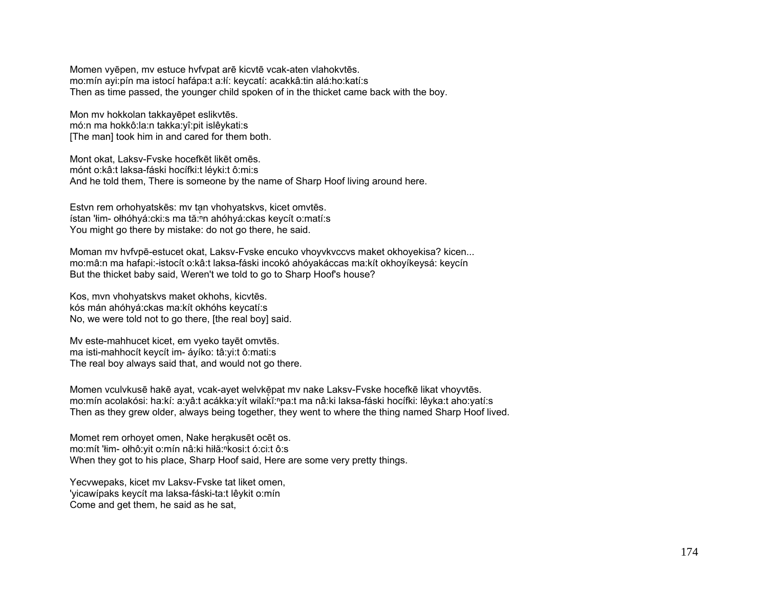Momen vyēpen, mv estuce hvfvpat arē kicvtē vcak-aten vlahokvtēs. mo:mín ayi:pín ma istocí hafápa:t a:łí: keycatí: acakkâ:tin alá:ho:katí:s Then as time passed, the younger child spoken of in the thicket came back with the boy.

Mon mv hokkolan takkayēpet eslikvtēs. mó:n ma hokkô:la:n takka:yî:pit islêykati:s [The man] took him in and cared for them both.

Mont okat, Laksv-Fvske hocefkēt likēt omēs. mónt o:kâ:t laksa-fáski hocífki:t léyki:t ô:mi:s And he told them, There is someone by the name of Sharp Hoof living around here.

Estvn rem orhohyatskēs: mv tan vhohyatskvs, kicet omvtēs. ístan 'łim- ołhóhyá:cki:s ma tă:<sup>n</sup>n ahóhyá:ckas keycít o:matí:s You might go there by mistake: do not go there, he said.

Moman mv hvfvpē-estucet okat, Laksv-Fvske encuko vhoyvkvccvs maket okhoyekisa? kicen... mo:mâ:n ma hafapi:-istocít o:kâ:t laksa-fáski incokó ahóyakáccas ma:kít okhoyíkeysá: keycín But the thicket baby said, Weren't we told to go to Sharp Hoof's house?

Kos, mvn vhohyatskvs maket okhohs, kicvtēs. kós mán ahóhyá:ckas ma:kít okhóhs keycatí:s No, we were told not to go there, [the real boy] said.

Mv este-mahhucet kicet, em vyeko tayēt omvtēs. ma isti-mahhocít keycít im- áyíko: tâ:yi:t ô:mati:s The real boy always said that, and would not go there.

Momen vculvkusē hakē ayat, vcak-ayet welvkēpat mv nake Laksv-Fvske hocefkē likat vhoyvtēs. mo:mín acolakósi: ha:kí: a:yâ:t acákka:yít wilakĭ:ʰpa:t ma nâ:ki laksa-fáski hocífki: lêyka:t aho:yatí:s Then as they grew older, always being together, they went to where the thing named Sharp Hoof lived.

Momet rem orhovet omen. Nake herakusēt ocēt os. mo:mít 'łim- ołhô:yit o:mín nâ:ki hiłă:<sup>ⁿ</sup>kosi:t ó:ci:t ô:s When they got to his place, Sharp Hoof said, Here are some very pretty things.

Yecvwepaks, kicet mv Laksv-Fvske tat liket omen, 'yicawípaks keycít ma laksa-fáski-ta:t lêykit o:mín Come and get them, he said as he sat,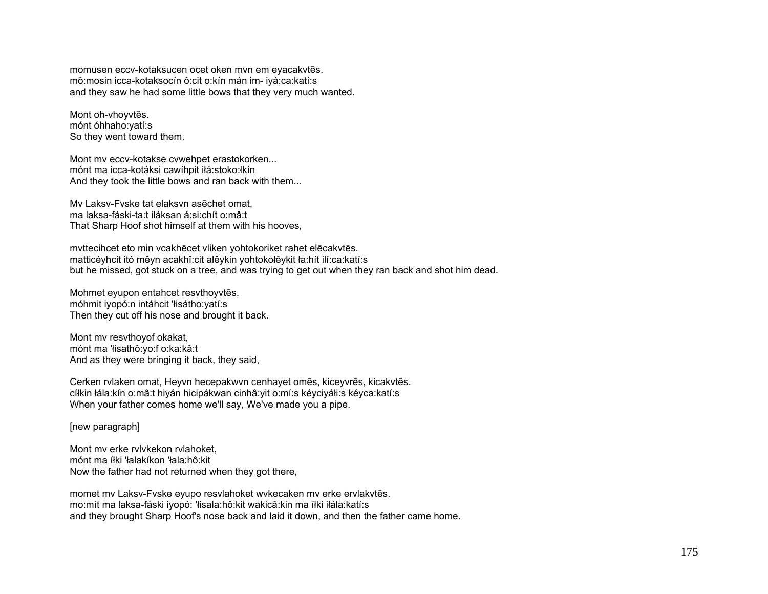momusen eccv-kotaksucen ocet oken mvn em eyacakvt ēs. mô:mosin icca-kotaksocín ô:cit o:kín mán im- iyá:ca:katí:s and they saw he had some little bows that they very much wanted.

Mont oh-vhoyvt ēs. mónt óhhaho:yatí:s So they went toward them.

Mont mv eccv-kotakse cvwehpet erastokorken... mónt ma icca-kotáksi cawíhpit iłá:stoko:łkín And they took the little bows and ran back with them...

Mv Laksv-Fvske tat elaksvn asēchet omat, ma laksa-fáski-ta:t iláksan á:si:chít o:mâ:t That Sharp Hoof shot himself at them with his hooves,

mvttecihcet eto min vcakh ēcet vliken yohtokoriket rahet el ēcakvt ēs. matticéyhcit itó mêyn acakhî:cit alêykin yohtokołêykit ła:hít ilí:ca:katí:s but he missed, got stuck on a tree, and was trying to get out when they ran back and shot him dead.

Mohmet eyupon entahcet resvthoyvt ēs. móhmit iyopó:n intáhcit 'łisátho:yatí:s Then they cut off his nose and brought it back.

Mont mv resvthoyof okakat, mónt ma 'łisathô:yo:f o:ka:kâ:t And as they were bringing it back, they said,

Cerken rvlaken omat, Heyvn hecepakwvn cenhayet om ēs, kiceyvr ēs, kicakvt ēs. cíłkin łála:kín o:mâ:t hiyán hicipákwan cinhâ:yit o:mí:s kéyciyáłi:s kéyca:katí:s When your father comes home we'll say, We've made you a pipe.

[new paragraph]

Mont mv erke rvlvkekon rvlahoket, mónt ma íłki 'łalakíkon 'łala:hô:kit Now the father had not returned when they got there,

momet mv Laksv-Fvske eyupo resvlahoket wvkecaken mv erke ervlakvt ēs. mo:mít ma laksa-fáski iyopó: 'łisala:hô:kit wakicâ:kin ma íłki iłála:katí:s and they brought Sharp Hoof's nose back and laid it down, and then the father came home.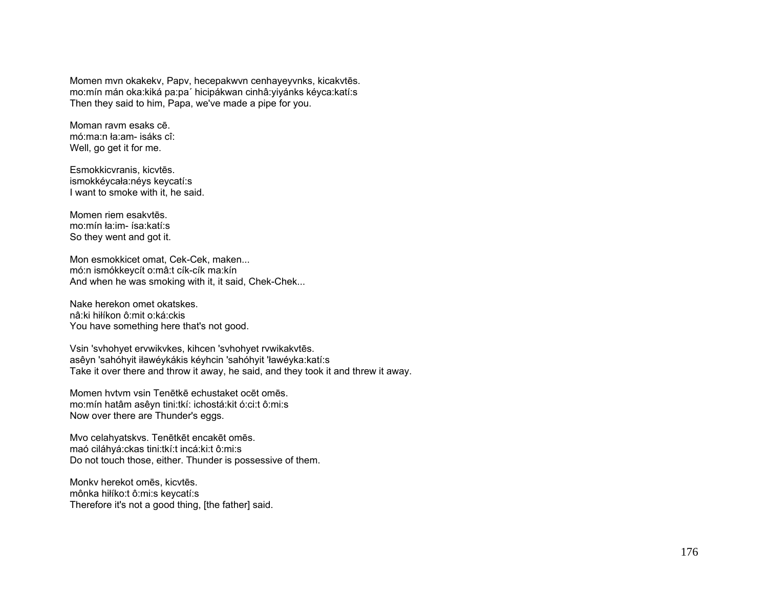Momen mvn okakekv, Papv, hecepakwvn cenhayeyvnks, kicakvt ēs. mo:mín mán oka:kiká pa:pa´ hicipákwan cinhâ:yiyánks kéyca:katí:s Then they said to him, Papa, we've made a pipe for you.

Moman ravm esaks cē. mó:ma:n ła:am- isáks cî: Well, go get it for me.

Esmokkicvranis, kicvt ēs. ismokkéycała:néys keycatí:s I want to smoke with it, he said.

Momen riem esakvtēs. mo:mín ła:im- ísa:katí:s So they went and got it.

Mon esmokkicet omat, Cek-Cek, maken... mó:n ismókkeycít o:mâ:t cík-cík ma:kín And when he was smoking with it, it said, Chek-Chek...

Nake herekon omet okatskes. nâ:ki hiłíkon ô:mit o:ká:ckis You have something here that's not good.

Vsin 'svhohyet ervwikvkes, kihcen 'svhohyet rvwikakvt ēs. asêyn 'sahóhyit iławéykákis kéyhcin 'sahóhyit 'ławéyka:katí:s Take it over there and throw it away, he said, and they took it and threw it away.

Momen hvtvm vsin Tenētkē echustaket ocēt omēs. mo:mín hatâm asêyn tini:tkí: ichostá:kit ó:ci:t ô:mi:s Now over there are Thunder's eggs.

Mvo celahyatskvs. Ten ētk ēt encak ēt om ēs. maó ciláhyá:ckas tini:tkí:t incá:ki:t ô:mi:s Do not touch those, either. Thunder is possessive of them.

Monkv herekot omēs, kicvt ēs. mônka hiłíko:t ô:mi:s keycatí:s Therefore it's not a good thing, [the father] said.